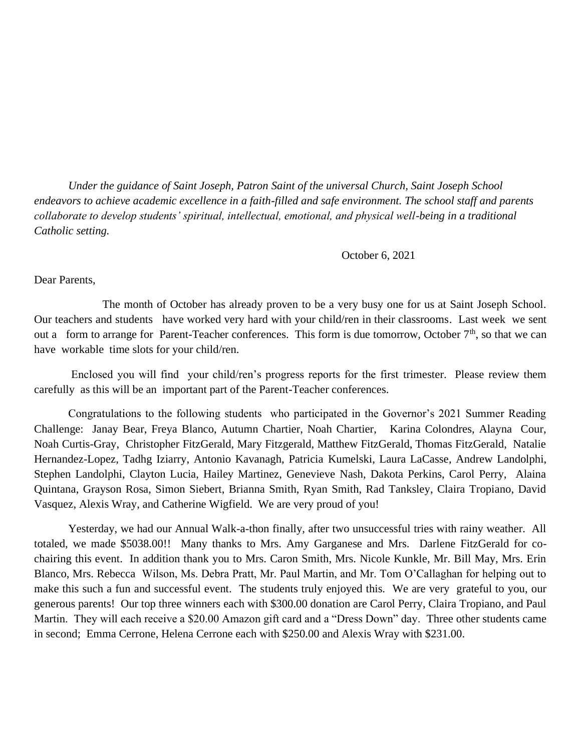*Under the guidance of Saint Joseph, Patron Saint of the universal Church, Saint Joseph School endeavors to achieve academic excellence in a faith-filled and safe environment. The school staff and parents collaborate to develop students' spiritual, intellectual, emotional, and physical well-being in a traditional Catholic setting.*

October 6, 2021

Dear Parents,

The month of October has already proven to be a very busy one for us at Saint Joseph School. Our teachers and students have worked very hard with your child/ren in their classrooms. Last week we sent out a form to arrange for Parent-Teacher conferences. This form is due tomorrow, October 7<sup>th</sup>, so that we can have workable time slots for your child/ren.

Enclosed you will find your child/ren's progress reports for the first trimester. Please review them carefully as this will be an important part of the Parent-Teacher conferences.

Congratulations to the following students who participated in the Governor's 2021 Summer Reading Challenge: Janay Bear, Freya Blanco, Autumn Chartier, Noah Chartier, Karina Colondres, Alayna Cour, Noah Curtis-Gray, Christopher FitzGerald, Mary Fitzgerald, Matthew FitzGerald, Thomas FitzGerald, Natalie Hernandez-Lopez, Tadhg Iziarry, Antonio Kavanagh, Patricia Kumelski, Laura LaCasse, Andrew Landolphi, Stephen Landolphi, Clayton Lucia, Hailey Martinez, Genevieve Nash, Dakota Perkins, Carol Perry, Alaina Quintana, Grayson Rosa, Simon Siebert, Brianna Smith, Ryan Smith, Rad Tanksley, Claira Tropiano, David Vasquez, Alexis Wray, and Catherine Wigfield. We are very proud of you!

Yesterday, we had our Annual Walk-a-thon finally, after two unsuccessful tries with rainy weather. All totaled, we made \$5038.00!! Many thanks to Mrs. Amy Garganese and Mrs. Darlene FitzGerald for cochairing this event. In addition thank you to Mrs. Caron Smith, Mrs. Nicole Kunkle, Mr. Bill May, Mrs. Erin Blanco, Mrs. Rebecca Wilson, Ms. Debra Pratt, Mr. Paul Martin, and Mr. Tom O'Callaghan for helping out to make this such a fun and successful event. The students truly enjoyed this. We are very grateful to you, our generous parents! Our top three winners each with \$300.00 donation are Carol Perry, Claira Tropiano, and Paul Martin. They will each receive a \$20.00 Amazon gift card and a "Dress Down" day. Three other students came in second; Emma Cerrone, Helena Cerrone each with \$250.00 and Alexis Wray with \$231.00.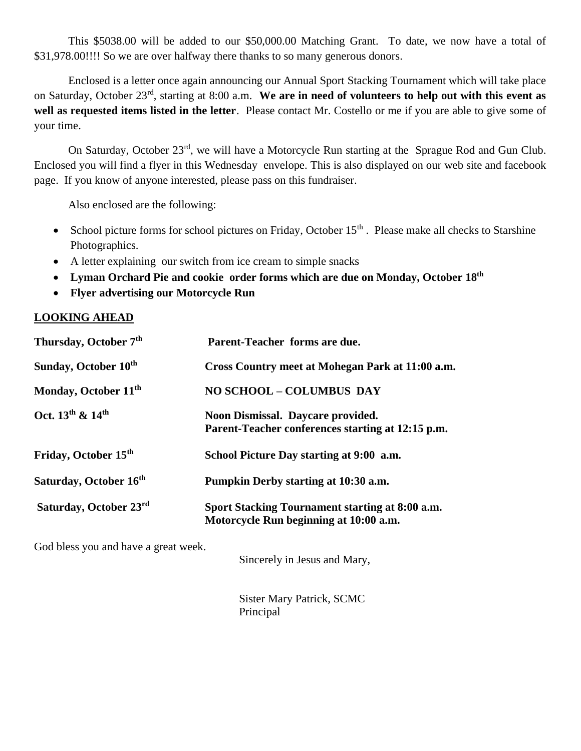This \$5038.00 will be added to our \$50,000.00 Matching Grant. To date, we now have a total of \$31,978.00!!!! So we are over halfway there thanks to so many generous donors.

Enclosed is a letter once again announcing our Annual Sport Stacking Tournament which will take place on Saturday, October 23rd, starting at 8:00 a.m. **We are in need of volunteers to help out with this event as well as requested items listed in the letter**. Please contact Mr. Costello or me if you are able to give some of your time.

On Saturday, October 23rd, we will have a Motorcycle Run starting at the Sprague Rod and Gun Club. Enclosed you will find a flyer in this Wednesday envelope. This is also displayed on our web site and facebook page. If you know of anyone interested, please pass on this fundraiser.

Also enclosed are the following:

- School picture forms for school pictures on Friday, October  $15<sup>th</sup>$ . Please make all checks to Starshine Photographics.
- A letter explaining our switch from ice cream to simple snacks
- **Lyman Orchard Pie and cookie order forms which are due on Monday, October 18 th**
- **Flyer advertising our Motorcycle Run**

## **LOOKING AHEAD**

| Thursday, October 7 <sup>th</sup>        | Parent-Teacher forms are due.                                                             |
|------------------------------------------|-------------------------------------------------------------------------------------------|
| Sunday, October 10 <sup>th</sup>         | Cross Country meet at Mohegan Park at 11:00 a.m.                                          |
| Monday, October 11 <sup>th</sup>         | <b>NO SCHOOL - COLUMBUS DAY</b>                                                           |
| Oct. 13 <sup>th</sup> & 14 <sup>th</sup> | Noon Dismissal. Daycare provided.<br>Parent-Teacher conferences starting at 12:15 p.m.    |
| Friday, October 15 <sup>th</sup>         | School Picture Day starting at 9:00 a.m.                                                  |
| Saturday, October 16 <sup>th</sup>       | Pumpkin Derby starting at 10:30 a.m.                                                      |
| Saturday, October 23rd                   | Sport Stacking Tournament starting at 8:00 a.m.<br>Motorcycle Run beginning at 10:00 a.m. |

God bless you and have a great week.

Sincerely in Jesus and Mary,

Sister Mary Patrick, SCMC Principal